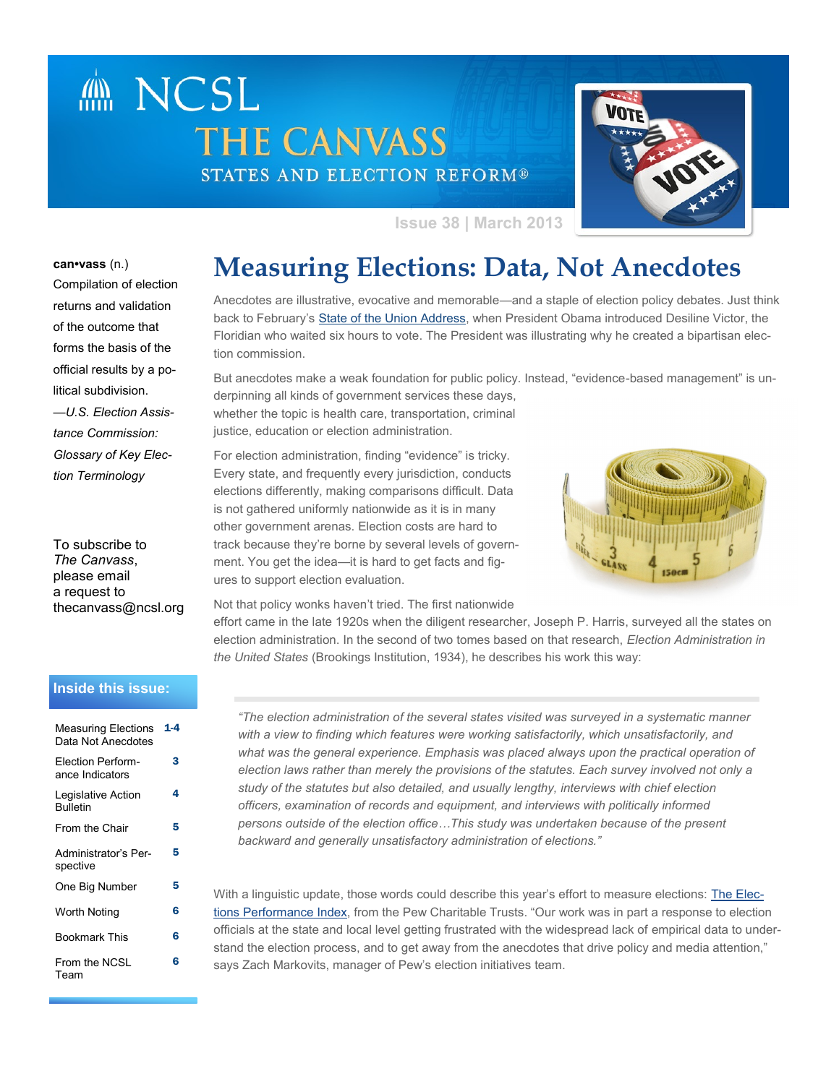# **MANCSL THE CANVASS STATES AND ELECTION REFORM®**



**Issue 38 | March 2013**

**can•vass** (n.) Compilation of election returns and validation of the outcome that forms the basis of the official results by a political subdivision. *—U.S. Election Assistance Commission: Glossary of Key Election Terminology*

To subscribe to *The Canvass*, please email a request to thecanvass@ncsl.org

#### **Inside this issue:**

| <b>Measuring Elections</b><br>Data Not Anecdotes | 1-4 |
|--------------------------------------------------|-----|
| Election Perform-<br>ance Indicators             | 3   |
| Legislative Action<br><b>Bulletin</b>            | 4   |
| From the Chair                                   | 5   |
| Administrator's Per-<br>spective                 | 5   |
| One Big Number                                   | 5   |
| Worth Noting                                     | 6   |
| Bookmark This                                    | 6   |
| From the NCSL<br>Team                            | 6   |

## **Measuring Elections: Data, Not Anecdotes**

Anecdotes are illustrative, evocative and memorable—and a staple of election policy debates. Just think back to February's [State of the Union Address,](http://www.whitehouse.gov/the-press-office/2013/02/12/remarks-president-state-union-address) when President Obama introduced Desiline Victor, the Floridian who waited six hours to vote. The President was illustrating why he created a bipartisan election commission.

But anecdotes make a weak foundation for public policy. Instead, "evidence-based management" is underpinning all kinds of government services these days,

whether the topic is health care, transportation, criminal justice, education or election administration.

For election administration, finding "evidence" is tricky. Every state, and frequently every jurisdiction, conducts elections differently, making comparisons difficult. Data is not gathered uniformly nationwide as it is in many other government arenas. Election costs are hard to track because they're borne by several levels of government. You get the idea—it is hard to get facts and figures to support election evaluation.



Not that policy wonks haven't tried. The first nationwide

effort came in the late 1920s when the diligent researcher, Joseph P. Harris, surveyed all the states on election administration. In the second of two tomes based on that research, *Election Administration in the United States* (Brookings Institution, 1934), he describes his work this way:

*"The election administration of the several states visited was surveyed in a systematic manner with a view to finding which features were working satisfactorily, which unsatisfactorily, and what was the general experience. Emphasis was placed always upon the practical operation of election laws rather than merely the provisions of the statutes. Each survey involved not only a study of the statutes but also detailed, and usually lengthy, interviews with chief election officers, examination of records and equipment, and interviews with politically informed persons outside of the election office…This study was undertaken because of the present backward and generally unsatisfactory administration of elections."*

With a linguistic update, those words could describe this year's effort to measure elections: [The Elec](http://www.pewstates.org/research/reports/elections-performance-index-85899445029)[tions Performance Index](http://www.pewstates.org/research/reports/elections-performance-index-85899445029), from the Pew Charitable Trusts. "Our work was in part a response to election officials at the state and local level getting frustrated with the widespread lack of empirical data to understand the election process, and to get away from the anecdotes that drive policy and media attention," says Zach Markovits, manager of Pew's election initiatives team.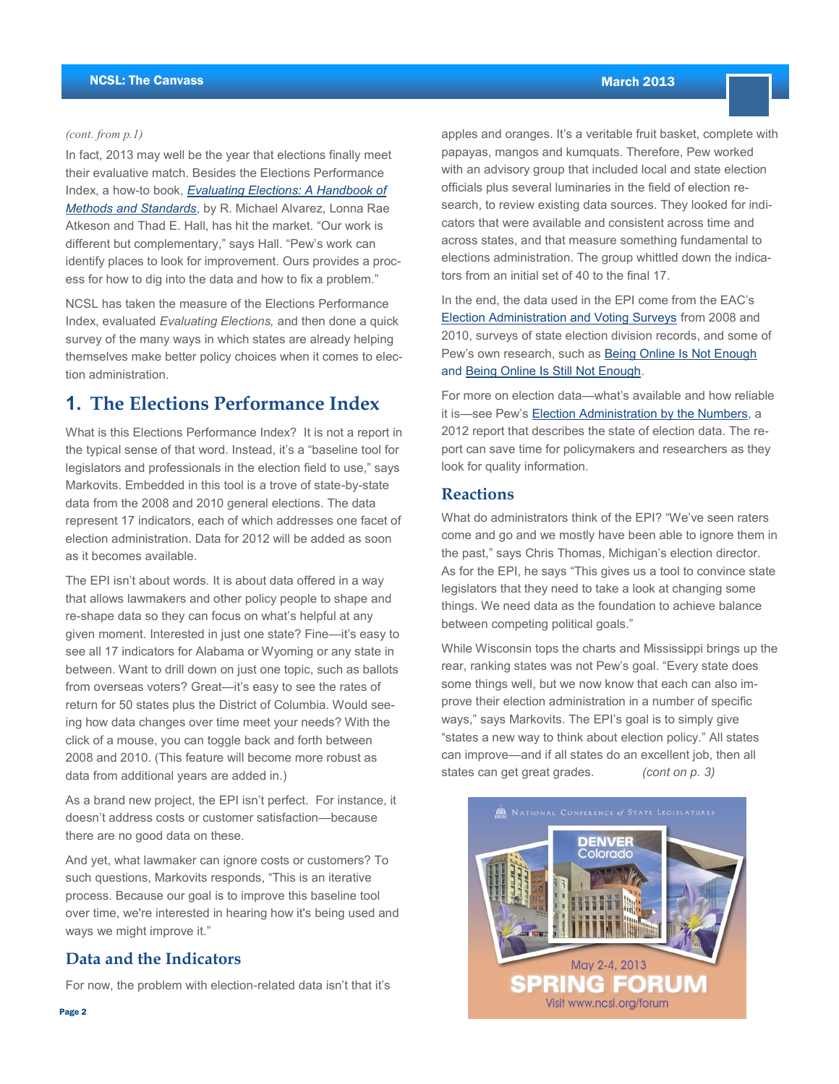#### *(cont. from p.1)*

In fact, 2013 may well be the year that elections finally meet their evaluative match. Besides the Elections Performance Index, a how-to book, *[Evaluating Elections: A Handbook of](http://www.cambridge.org/us/knowledge/isbn/item6869956/)  [Methods and Standards](http://www.cambridge.org/us/knowledge/isbn/item6869956/)*, by R. Michael Alvarez, Lonna Rae Atkeson and Thad E. Hall, has hit the market. "Our work is different but complementary," says Hall. "Pew's work can identify places to look for improvement. Ours provides a process for how to dig into the data and how to fix a problem."

NCSL has taken the measure of the Elections Performance Index, evaluated *Evaluating Elections,* and then done a quick survey of the many ways in which states are already helping themselves make better policy choices when it comes to election administration.

### **1. The Elections Performance Index**

What is this Elections Performance Index? It is not a report in the typical sense of that word. Instead, it's a "baseline tool for legislators and professionals in the election field to use," says Markovits. Embedded in this tool is a trove of state-by-state data from the 2008 and 2010 general elections. The data represent 17 indicators, each of which addresses one facet of election administration. Data for 2012 will be added as soon as it becomes available.

The EPI isn't about words. It is about data offered in a way that allows lawmakers and other policy people to shape and re-shape data so they can focus on what's helpful at any given moment. Interested in just one state? Fine—it's easy to see all 17 indicators for Alabama or Wyoming or any state in between. Want to drill down on just one topic, such as ballots from overseas voters? Great—it's easy to see the rates of return for 50 states plus the District of Columbia. Would seeing how data changes over time meet your needs? With the click of a mouse, you can toggle back and forth between 2008 and 2010. (This feature will become more robust as data from additional years are added in.)

As a brand new project, the EPI isn't perfect. For instance, it doesn't address costs or customer satisfaction—because there are no good data on these.

And yet, what lawmaker can ignore costs or customers? To such questions, Markovits responds, "This is an iterative process. Because our goal is to improve this baseline tool over time, we're interested in hearing how it's being used and ways we might improve it."

### **Data and the Indicators**

For now, the problem with election-related data isn't that it's

apples and oranges. It's a veritable fruit basket, complete with papayas, mangos and kumquats. Therefore, Pew worked with an advisory group that included local and state election officials plus several luminaries in the field of election research, to review existing data sources. They looked for indicators that were available and consistent across time and across states, and that measure something fundamental to elections administration. The group whittled down the indicators from an initial set of 40 to the final 17.

[In the end, the data used in the EPI come fro](http://www.eac.gov/research/election_administration_and_voting_survey.aspx)m the EAC's Election Administration and Voting Surveys from 2008 and 2010, surveys of state electio[n division records, and some](http://www.pewtrusts.org/our_work_report_detail.aspx?id=45170) of Pew's own research, such as **[Being Online Is Not Enough](http://www.pewtrusts.org/our_work_report_detail.aspx?id=45170)** and **Being Online Is Still Not Enough**.

For more on election data—what's available and how reliable it is—see Pew's Election Administration by the Numbers, a 2012 report that describes the state of election data. The report can save time for policymakers and researchers as they look for quality information.

#### $\mathbf{N}$ eactions the EPI?  $\mathbf{N}$ **Reactions**

What do administrators think of the EPI? "We've seen raters come and go and we mostly have been able to ignore them in the past," says Chris Thomas, Michigan's election director. As for the EPI, he says "This gives us a tool to convince state legislators that they need to take a look at changing some things. We need data as the foundation to achieve balance between competing political goals."

While Wisconsin tops the charts and Mississippi brings up the rear, ranking states was not Pew's goal. "Every state does some things well, but we now know that each can also improve their election administration in a number of specific ways," says Markovits. The EPI's goal is to simply give "states a new way to think about election policy." All states can improve—and if all states do an excellent job, then all *(cont on p. 3)* states can get great grades.

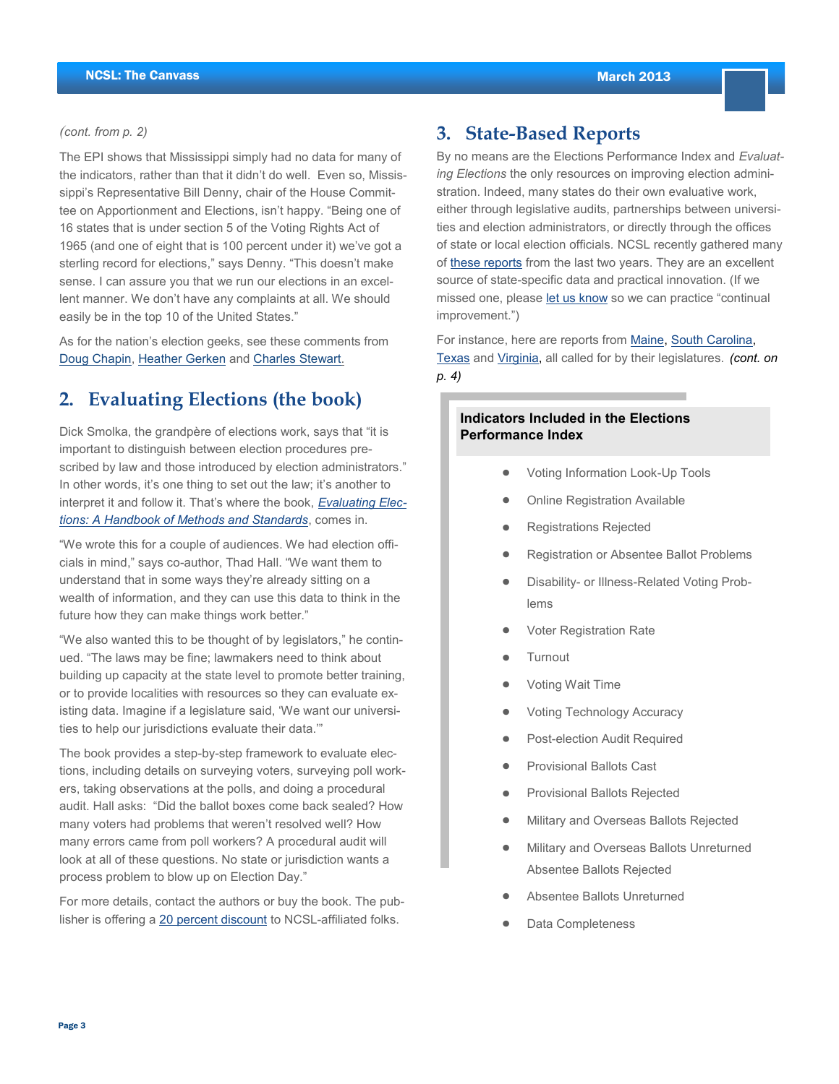March 2013

#### *(cont. from p. 2)*

The EPI shows that Mississippi simply had no data for many of the indicators, rather than that it didn't do well. Even so, Mississippi's Representative Bill Denny, chair of the House Committee on Apportionment and Elections, isn't happy. "Being one of 16 states that is under section 5 of the Voting Rights Act of 1965 (and one of eight that is 100 percent under it) we've got a sterling record for elections," says Denny. "This doesn't make sense. I can assure you that we run our elections in an excellent manner. We don't have any complaints at all. We should easily be in the top 10 of the United States."

As for the nation's election geeks, see these comments from [Doug Chapin,](http://blog.lib.umn.edu/cspg/electionacademy/2013/02/better_elections_performance_t.php) [Heather Gerken](http://electionlawblog.org/?p=47114) and [Charles Stewart.](http://web.mit.edu/newsoffice/2013/3-questions-charles-stewart-voting-systems-united-states-0206.html)

### **2. Evaluating Elections (the book)**

Dick Smolka, the grandpère of elections work, says that "it is important to distinguish between election procedures prescribed by law and those introduced by election administrators." In other words, it's one thing to set out the law; it's another to interpret it and follow it. That's where the book, *[Evaluating Elec](http://www.cambridge.org/us/knowledge/isbn/item6869956/)[tions: A Handbook of Methods and Standards](http://www.cambridge.org/us/knowledge/isbn/item6869956/)*, comes in.

"We wrote this for a couple of audiences. We had election officials in mind," says co-author, Thad Hall. "We want them to understand that in some ways they're already sitting on a wealth of information, and they can use this data to think in the future how they can make things work better."

"We also wanted this to be thought of by legislators," he continued. "The laws may be fine; lawmakers need to think about building up capacity at the state level to promote better training, or to provide localities with resources so they can evaluate existing data. Imagine if a legislature said, 'We want our universities to help our jurisdictions evaluate their data.'"

The book provides a step-by-step framework to evaluate elections, including details on surveying voters, surveying poll workers, taking observations at the polls, and doing a procedural audit. Hall asks: "Did the ballot boxes come back sealed? How many voters had problems that weren't resolved well? How many errors came from poll workers? A procedural audit will look at all of these questions. No state or jurisdiction wants a process problem to blow up on Election Day."

For more details, contact the authors or buy the book. The pub-lisher is offering a [20 percent discount](http://www.cambridge.org/knowledge/discountpromotion?code=NCSL20) to NCSL-affiliated folks.

### **3. State-Based Reports**

By no means are the Elections Performance Index and *Evaluating Elections* the only resources on improving election administration. Indeed, many states do their own evaluative work, either through legislative audits, partnerships between universities and election administrators, or directly through the offices of state or local election officials*.* NCSL recently gathered many of [these reports](http://www.ncsl.org/default.aspx?Tabid=25881) from the last two years. They are an excellent source of state-specific data and practical innovation. (If we missed one, please [let us know](mailto:elections-info@ncsl.org) so we can practice "continual improvement.")

For instance, here are reports from [Maine,](http://www.maine.gov/sos/cec/elec/ElectionsCommissionReport.pdf) [South Carolina,](http://lac.sc.gov/LAC_Reports/2013/Pages/SEC.aspx)  [Texas](http://www.sos.state.tx.us/elections/laws/report-ec43007j.shtml) and [Virginia,](http://jlarc.virginia.gov/meetings/June10/VoteAuditbrf.pdf) all called for by their legislatures. *(cont. on p. 4)*

### **Indicators Included in the Elections Performance Index**

- Voting Information Look-Up Tools  $\bullet$
- Online Registration Available  $\bullet$
- Registrations Rejected
- Registration or Absentee Ballot Problems
- Disability- or Illness-Related Voting Problems
- Voter Registration Rate  $\bullet$
- **Turnout**
- Voting Wait Time
- Voting Technology Accuracy
- Post-election Audit Required  $\bullet$
- Provisional Ballots Cast
- Provisional Ballots Rejected  $\bullet$
- Military and Overseas Ballots Rejected
- Military and Overseas Ballots Unreturned  $\bullet$ Absentee Ballots Rejected
- Absentee Ballots Unreturned
- Data Completeness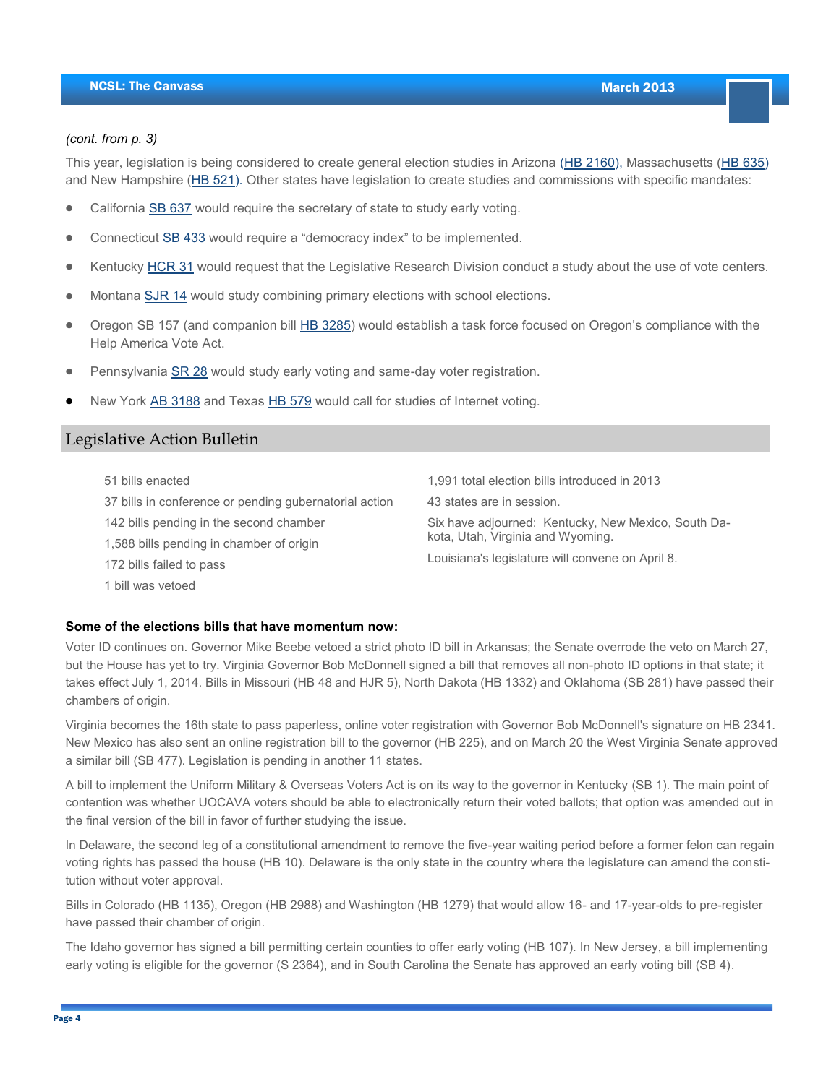March 2013

#### *(cont. from p. 3)*

This year, legislation is being considered to create general election studies in Arizona ([HB 2160\),](http://www.azleg.gov/legtext/51leg/1r/bills/hb2160p.pdf) Massachusetts ([HB 635\)](http://www.malegislature.gov/Bills/188/House/H635) and New Hampshire ([HB 521\).](http://www.gencourt.state.nh.us/legislation/2013/HB0521.pdf) Other states have legislation to create studies and commissions with specific mandates:

- California [SB 637](http://www.leginfo.ca.gov/pub/13-14/bill/sen/sb_0601-0650/sb_637_bill_20130222_introduced.pdf) would require the secretary of state to study early voting.
- Connecticut [SB 433](http://www.cga.ct.gov/2013/TOB/S/2013SB-00433-R01-SB.htm) would require a "democracy index" to be implemented.
- Kentucky [HCR 31](http://www.lrc.ky.gov/record/13RS/HC31.htm) would request that the Legislative Research Division conduct a study about the use of vote centers.
- Montana [SJR 14](http://data.opi.mt.gov/bills/2013/billpdf/SJ0014.pdf) would study combining primary elections with school elections.
- Oregon SB 157 (and companion bill [HB 3285](http://www.leg.state.or.us/13reg/measpdf/hb3200.dir/hb3285.intro.pdf)) would establish a task force focused on Oregon's compliance with the Help America Vote Act.
- Pennsylvania [SR 28](http://www.legis.state.pa.us/CFDOCS/Legis/PN/Public/btCheck.cfm?txtType=PDF&sessYr=2013&sessInd=0&billBody=S&billTyp=R&billNbr=0028&pn=0383) would study early voting and same-day voter registration.
- New York [AB 3188](http://assembly.state.ny.us/leg/?bn=A03188&term=2013) and Texas [HB 579](http://www.legis.state.tx.us/tlodocs/83R/billtext/pdf/HB00579I.pdf#navpanes=0) would call for studies of Internet voting.

### Legislative Action Bulletin

| 51 bills enacted                                       | 1,991 total election bills introduced in 2013                                                                                                |
|--------------------------------------------------------|----------------------------------------------------------------------------------------------------------------------------------------------|
| 37 bills in conference or pending gubernatorial action | 43 states are in session.                                                                                                                    |
| 142 bills pending in the second chamber                | Six have adjourned: Kentucky, New Mexico, South Da-<br>kota, Utah, Virginia and Wyoming.<br>Louisiana's legislature will convene on April 8. |
| 1,588 bills pending in chamber of origin               |                                                                                                                                              |
| 172 bills failed to pass                               |                                                                                                                                              |
| 1 bill was vetoed                                      |                                                                                                                                              |

#### **Some of the elections bills that have momentum now:**

Voter ID continues on. Governor Mike Beebe vetoed a strict photo ID bill in Arkansas; the Senate overrode the veto on March 27, but the House has yet to try. Virginia Governor Bob McDonnell signed a bill that removes all non-photo ID options in that state; it takes effect July 1, 2014. Bills in Missouri (HB 48 and HJR 5), North Dakota (HB 1332) and Oklahoma (SB 281) have passed their chambers of origin.

Virginia becomes the 16th state to pass paperless, online voter registration with Governor Bob McDonnell's signature on HB 2341. New Mexico has also sent an online registration bill to the governor (HB 225), and on March 20 the West Virginia Senate approved a similar bill (SB 477). Legislation is pending in another 11 states.

A bill to implement the Uniform Military & Overseas Voters Act is on its way to the governor in Kentucky (SB 1). The main point of contention was whether UOCAVA voters should be able to electronically return their voted ballots; that option was amended out in the final version of the bill in favor of further studying the issue.

In Delaware, the second leg of a constitutional amendment to remove the five-year waiting period before a former felon can regain voting rights has passed the house (HB 10). Delaware is the only state in the country where the legislature can amend the constitution without voter approval.

Bills in Colorado (HB 1135), Oregon (HB 2988) and Washington (HB 1279) that would allow 16- and 17-year-olds to pre-register have passed their chamber of origin.

The Idaho governor has signed a bill permitting certain counties to offer early voting (HB 107). In New Jersey, a bill implementing early voting is eligible for the governor (S 2364), and in South Carolina the Senate has approved an early voting bill (SB 4).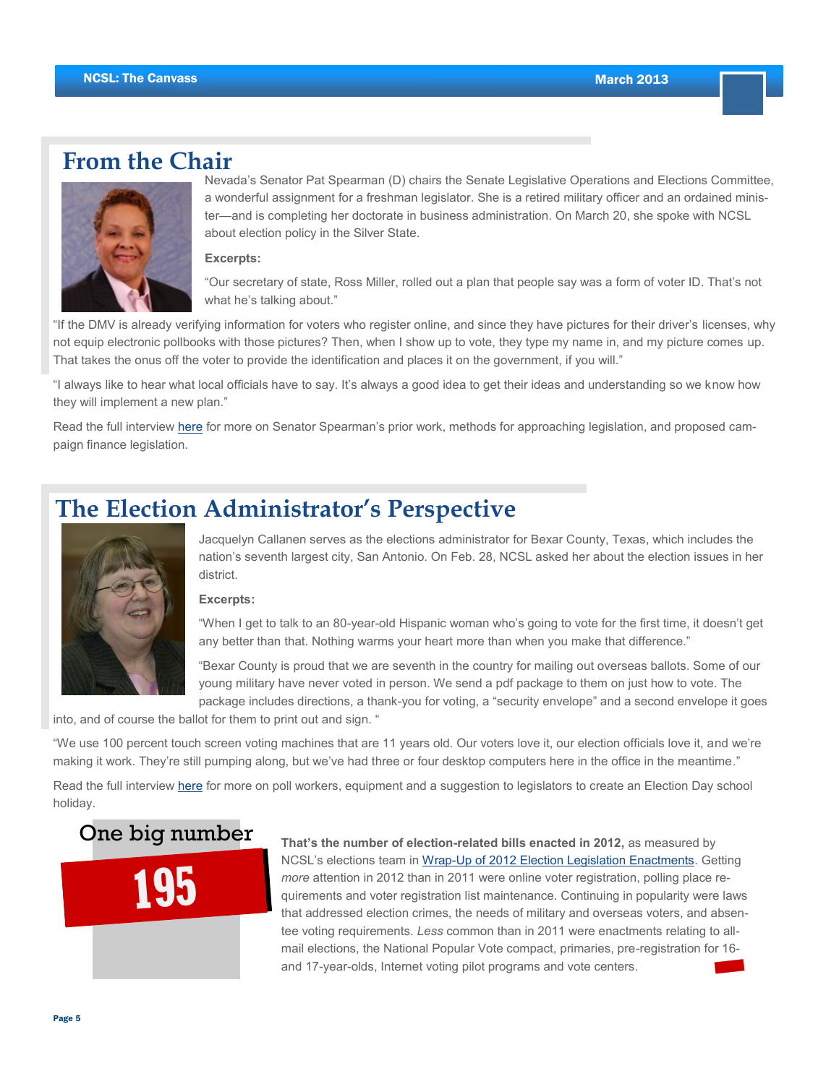### **From the Chair**



Nevada's Senator Pat Spearman (D) chairs the Senate Legislative Operations and Elections Committee, a wonderful assignment for a freshman legislator. She is a retired military officer and an ordained minister—and is completing her doctorate in business administration. On March 20, she spoke with NCSL about election policy in the Silver State.

**Excerpts:**

"Our secretary of state, Ross Miller, rolled out a plan that people say was a form of voter ID. That's not what he's talking about."

"If the DMV is already verifying information for voters who register online, and since they have pictures for their driver's licenses, why not equip electronic pollbooks with those pictures? Then, when I show up to vote, they type my name in, and my picture comes up. That takes the onus off the voter to provide the identification and places it on the government, if you will."

"I always like to hear what local officials have to say. It's always a good idea to get their ideas and understanding so we know how they will implement a new plan."

Read the full interview [here](http://www.ncsl.org/default.aspx?Tabid=24216) for more on Senator Spearman's prior work, methods for approaching legislation, and proposed campaign finance legislation.

### **The Election Administrator's Perspective**



Jacquelyn Callanen serves as the elections administrator for Bexar County, Texas, which includes the nation's seventh largest city, San Antonio. On Feb. 28, NCSL asked her about the election issues in her district.

#### **Excerpts:**

"When I get to talk to an 80-year-old Hispanic woman who's going to vote for the first time, it doesn't get any better than that. Nothing warms your heart more than when you make that difference."

"Bexar County is proud that we are seventh in the country for mailing out overseas ballots. Some of our young military have never voted in person. We send a pdf package to them on just how to vote. The package includes directions, a thank-you for voting, a "security envelope" and a second envelope it goes

into, and of course the ballot for them to print out and sign. "

"We use 100 percent touch screen voting machines that are 11 years old. Our voters love it, our election officials love it, and we're making it work. They're still pumping along, but we've had three or four desktop computers here in the office in the meantime."

Read the full interview [here](http://www.ncsl.org/default.aspx?Tabid=24217) for more on poll workers, equipment and a suggestion to legislators to create an Election Day school holiday.

### One big number



**That's the number of election-related bills enacted in 2012,** as measured by NCSL's elections team in [Wrap-Up of 2012 Election Legislation Enactments.](http://www.ncsl.org/legislatures-elections/elections/wrap-up-of-2012-election-legislation-enactments.aspx) Getting *more* attention in 2012 than in 2011 were online voter registration, polling place requirements and voter registration list maintenance. Continuing in popularity were laws that addressed election crimes, the needs of military and overseas voters, and absentee voting requirements. *Less* common than in 2011 were enactments relating to allmail elections, the National Popular Vote compact, primaries, pre-registration for 16 and 17-year-olds, Internet voting pilot programs and vote centers.